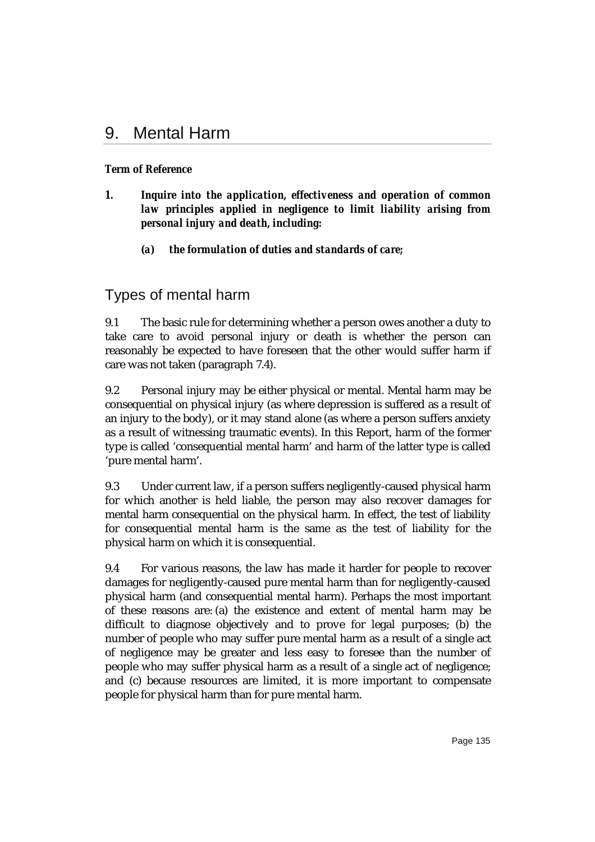# 9. Mental Harm

## *Term of Reference*

- *1. Inquire into the application, effectiveness and operation of common law principles applied in negligence to limit liability arising from personal injury and death, including:*
	- *(a) the formulation of duties and standards of care;*

## Types of mental harm

9.1 The basic rule for determining whether a person owes another a duty to take care to avoid personal injury or death is whether the person can reasonably be expected to have foreseen that the other would suffer harm if care was not taken (paragraph 7.4).

9.2 Personal injury may be either physical or mental. Mental harm may be consequential on physical injury (as where depression is suffered as a result of an injury to the body), or it may stand alone (as where a person suffers anxiety as a result of witnessing traumatic events). In this Report, harm of the former type is called 'consequential mental harm' and harm of the latter type is called 'pure mental harm'.

9.3 Under current law, if a person suffers negligently-caused physical harm for which another is held liable, the person may also recover damages for mental harm consequential on the physical harm. In effect, the test of liability for consequential mental harm is the same as the test of liability for the physical harm on which it is consequential.

9.4 For various reasons, the law has made it harder for people to recover damages for negligently-caused pure mental harm than for negligently-caused physical harm (and consequential mental harm). Perhaps the most important of these reasons are: (a) the existence and extent of mental harm may be difficult to diagnose objectively and to prove for legal purposes; (b) the number of people who may suffer pure mental harm as a result of a single act of negligence may be greater and less easy to foresee than the number of people who may suffer physical harm as a result of a single act of negligence; and (c) because resources are limited, it is more important to compensate people for physical harm than for pure mental harm.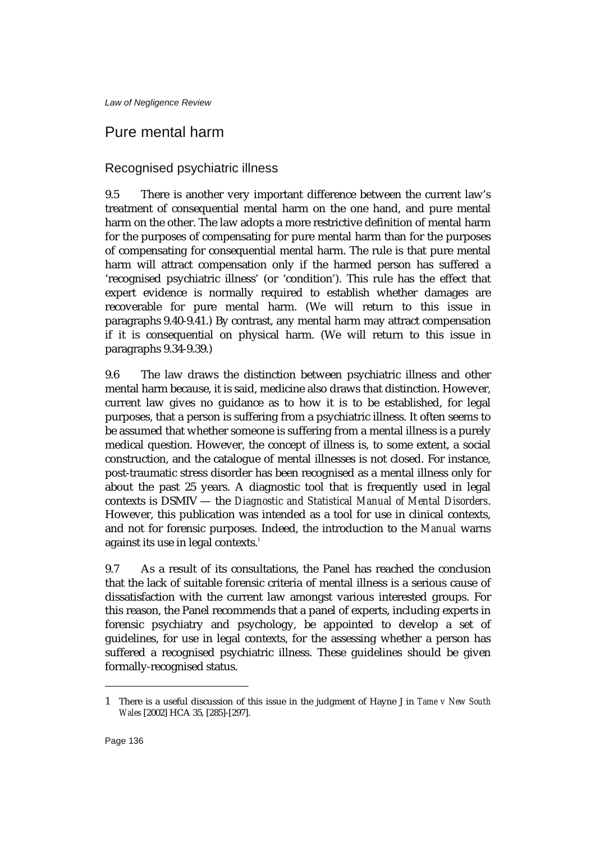## Pure mental harm

## Recognised psychiatric illness

9.5 There is another very important difference between the current law's treatment of consequential mental harm on the one hand, and pure mental harm on the other. The law adopts a more restrictive definition of mental harm for the purposes of compensating for pure mental harm than for the purposes of compensating for consequential mental harm. The rule is that pure mental harm will attract compensation only if the harmed person has suffered a 'recognised psychiatric illness' (or 'condition'). This rule has the effect that expert evidence is normally required to establish whether damages are recoverable for pure mental harm. (We will return to this issue in paragraphs 9.40-9.41.) By contrast, any mental harm may attract compensation if it is consequential on physical harm. (We will return to this issue in paragraphs 9.34-9.39.)

9.6 The law draws the distinction between psychiatric illness and other mental harm because, it is said, medicine also draws that distinction. However, current law gives no guidance as to how it is to be established, for legal purposes, that a person is suffering from a psychiatric illness. It often seems to be assumed that whether someone is suffering from a mental illness is a purely medical question. However, the concept of illness is, to some extent, a social construction, and the catalogue of mental illnesses is not closed. For instance, post-traumatic stress disorder has been recognised as a mental illness only for about the past 25 years. A diagnostic tool that is frequently used in legal contexts is DSMIV — the *Diagnostic and Statistical Manual of Mental Disorders*. However, this publication was intended as a tool for use in clinical contexts, and not for forensic purposes. Indeed, the introduction to the *Manual* warns against its use in legal contexts.<sup>1</sup>

9.7 As a result of its consultations, the Panel has reached the conclusion that the lack of suitable forensic criteria of mental illness is a serious cause of dissatisfaction with the current law amongst various interested groups. For this reason, the Panel recommends that a panel of experts, including experts in forensic psychiatry and psychology, be appointed to develop a set of guidelines, for use in legal contexts, for the assessing whether a person has suffered a recognised psychiatric illness. These guidelines should be given formally-recognised status.

<sup>1</sup> There is a useful discussion of this issue in the judgment of Hayne J in *Tame v New South Wales* [2002] HCA 35, [285]-[297].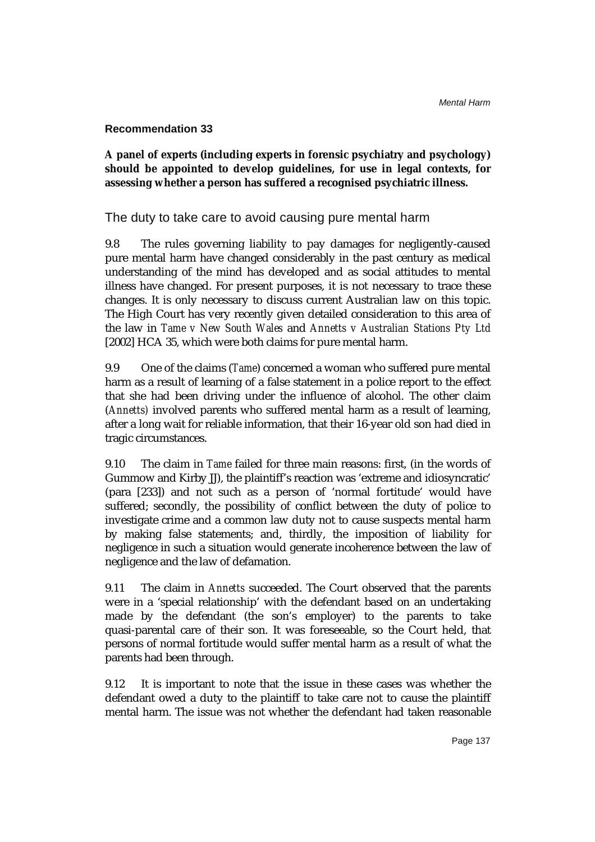### **Recommendation 33**

**A panel of experts (including experts in forensic psychiatry and psychology) should be appointed to develop guidelines, for use in legal contexts, for assessing whether a person has suffered a recognised psychiatric illness.**

The duty to take care to avoid causing pure mental harm

9.8 The rules governing liability to pay damages for negligently-caused pure mental harm have changed considerably in the past century as medical understanding of the mind has developed and as social attitudes to mental illness have changed. For present purposes, it is not necessary to trace these changes. It is only necessary to discuss current Australian law on this topic. The High Court has very recently given detailed consideration to this area of the law in *Tame v New South Wales* and *Annetts v Australian Stations Pty Ltd* [2002] HCA 35, which were both claims for pure mental harm.

9.9 One of the claims (*Tame*) concerned a woman who suffered pure mental harm as a result of learning of a false statement in a police report to the effect that she had been driving under the influence of alcohol. The other claim (*Annetts)* involved parents who suffered mental harm as a result of learning, after a long wait for reliable information, that their 16-year old son had died in tragic circumstances.

9.10 The claim in *Tame* failed for three main reasons: first, (in the words of Gummow and Kirby JJ), the plaintiff's reaction was 'extreme and idiosyncratic' (para [233]) and not such as a person of 'normal fortitude' would have suffered; secondly, the possibility of conflict between the duty of police to investigate crime and a common law duty not to cause suspects mental harm by making false statements; and, thirdly, the imposition of liability for negligence in such a situation would generate incoherence between the law of negligence and the law of defamation.

9.11 The claim in *Annetts* succeeded. The Court observed that the parents were in a 'special relationship' with the defendant based on an undertaking made by the defendant (the son's employer) to the parents to take quasi-parental care of their son. It was foreseeable, so the Court held, that persons of normal fortitude would suffer mental harm as a result of what the parents had been through.

9.12 It is important to note that the issue in these cases was whether the defendant owed a duty to the plaintiff to take care not to cause the plaintiff mental harm. The issue was not whether the defendant had taken reasonable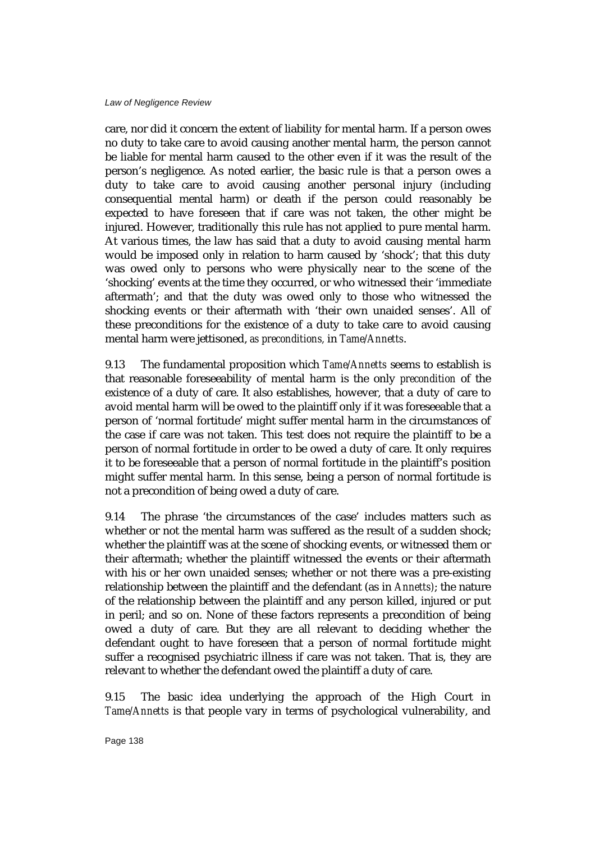care, nor did it concern the extent of liability for mental harm. If a person owes no duty to take care to avoid causing another mental harm, the person cannot be liable for mental harm caused to the other even if it was the result of the person's negligence. As noted earlier, the basic rule is that a person owes a duty to take care to avoid causing another personal injury (including consequential mental harm) or death if the person could reasonably be expected to have foreseen that if care was not taken, the other might be injured. However, traditionally this rule has not applied to pure mental harm. At various times, the law has said that a duty to avoid causing mental harm would be imposed only in relation to harm caused by 'shock'; that this duty was owed only to persons who were physically near to the scene of the 'shocking' events at the time they occurred, or who witnessed their 'immediate aftermath'; and that the duty was owed only to those who witnessed the shocking events or their aftermath with 'their own unaided senses'. All of these preconditions for the existence of a duty to take care to avoid causing mental harm were jettisoned, *as preconditions,* in *Tame/Annetts*.

9.13 The fundamental proposition which *Tame/Annetts* seems to establish is that reasonable foreseeability of mental harm is the only *precondition* of the existence of a duty of care. It also establishes, however, that a duty of care to avoid mental harm will be owed to the plaintiff only if it was foreseeable that a person of 'normal fortitude' might suffer mental harm in the circumstances of the case if care was not taken. This test does not require the plaintiff to be a person of normal fortitude in order to be owed a duty of care. It only requires it to be foreseeable that a person of normal fortitude in the plaintiff's position might suffer mental harm. In this sense, being a person of normal fortitude is not a precondition of being owed a duty of care.

9.14 The phrase 'the circumstances of the case' includes matters such as whether or not the mental harm was suffered as the result of a sudden shock; whether the plaintiff was at the scene of shocking events, or witnessed them or their aftermath; whether the plaintiff witnessed the events or their aftermath with his or her own unaided senses; whether or not there was a pre-existing relationship between the plaintiff and the defendant (as in *Annetts)*; the nature of the relationship between the plaintiff and any person killed, injured or put in peril; and so on. None of these factors represents a precondition of being owed a duty of care. But they are all relevant to deciding whether the defendant ought to have foreseen that a person of normal fortitude might suffer a recognised psychiatric illness if care was not taken. That is, they are relevant to whether the defendant owed the plaintiff a duty of care.

9.15 The basic idea underlying the approach of the High Court in *Tame/Annetts* is that people vary in terms of psychological vulnerability, and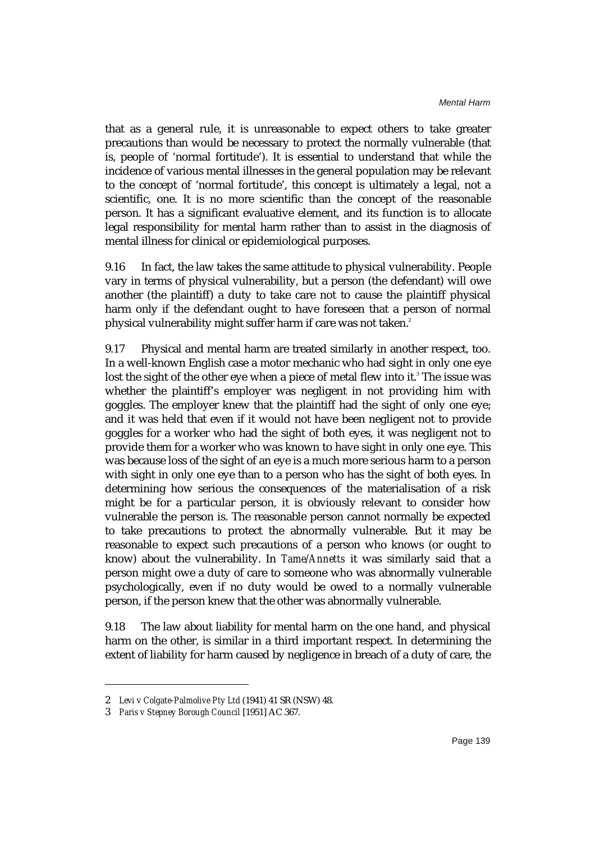that as a general rule, it is unreasonable to expect others to take greater precautions than would be necessary to protect the normally vulnerable (that is, people of 'normal fortitude'). It is essential to understand that while the incidence of various mental illnesses in the general population may be relevant to the concept of 'normal fortitude', this concept is ultimately a legal, not a scientific, one. It is no more scientific than the concept of the reasonable person. It has a significant evaluative element, and its function is to allocate legal responsibility for mental harm rather than to assist in the diagnosis of mental illness for clinical or epidemiological purposes.

9.16 In fact, the law takes the same attitude to physical vulnerability. People vary in terms of physical vulnerability, but a person (the defendant) will owe another (the plaintiff) a duty to take care not to cause the plaintiff physical harm only if the defendant ought to have foreseen that a person of normal physical vulnerability might suffer harm if care was not taken.<sup>2</sup>

9.17 Physical and mental harm are treated similarly in another respect, too. In a well-known English case a motor mechanic who had sight in only one eye lost the sight of the other eye when a piece of metal flew into it.<sup>3</sup> The issue was whether the plaintiff's employer was negligent in not providing him with goggles. The employer knew that the plaintiff had the sight of only one eye; and it was held that even if it would not have been negligent not to provide goggles for a worker who had the sight of both eyes, it was negligent not to provide them for a worker who was known to have sight in only one eye. This was because loss of the sight of an eye is a much more serious harm to a person with sight in only one eye than to a person who has the sight of both eyes. In determining how serious the consequences of the materialisation of a risk might be for a particular person, it is obviously relevant to consider how vulnerable the person is. The reasonable person cannot normally be expected to take precautions to protect the abnormally vulnerable. But it may be reasonable to expect such precautions of a person who knows (or ought to know) about the vulnerability. In *Tame/Annetts* it was similarly said that a person might owe a duty of care to someone who was abnormally vulnerable psychologically, even if no duty would be owed to a normally vulnerable person, if the person knew that the other was abnormally vulnerable.

9.18 The law about liability for mental harm on the one hand, and physical harm on the other, is similar in a third important respect. In determining the extent of liability for harm caused by negligence in breach of a duty of care, the

<sup>2</sup> *Levi v Colgate-Palmolive Pty Ltd* (1941) 41 SR (NSW) 48.

<sup>3</sup> *Paris v Stepney Borough Council* [1951] AC 367.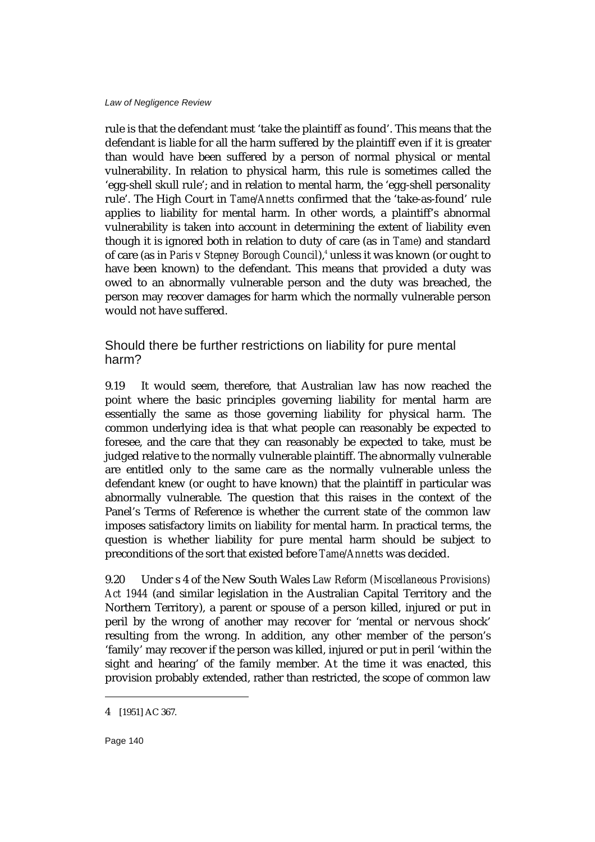rule is that the defendant must 'take the plaintiff as found'. This means that the defendant is liable for all the harm suffered by the plaintiff even if it is greater than would have been suffered by a person of normal physical or mental vulnerability. In relation to physical harm, this rule is sometimes called the 'egg-shell skull rule'; and in relation to mental harm, the 'egg-shell personality rule'. The High Court in *Tame/Annetts* confirmed that the 'take-as-found' rule applies to liability for mental harm. In other words, a plaintiff's abnormal vulnerability is taken into account in determining the extent of liability even though it is ignored both in relation to duty of care (as in *Tame*) and standard of care (as in *Paris v Stepney Borough Council*),<sup>4</sup> unless it was known (or ought to have been known) to the defendant. This means that provided a duty was owed to an abnormally vulnerable person and the duty was breached, the person may recover damages for harm which the normally vulnerable person would not have suffered.

Should there be further restrictions on liability for pure mental harm?

9.19 It would seem, therefore, that Australian law has now reached the point where the basic principles governing liability for mental harm are essentially the same as those governing liability for physical harm. The common underlying idea is that what people can reasonably be expected to foresee, and the care that they can reasonably be expected to take, must be judged relative to the normally vulnerable plaintiff. The abnormally vulnerable are entitled only to the same care as the normally vulnerable unless the defendant knew (or ought to have known) that the plaintiff in particular was abnormally vulnerable. The question that this raises in the context of the Panel's Terms of Reference is whether the current state of the common law imposes satisfactory limits on liability for mental harm. In practical terms, the question is whether liability for pure mental harm should be subject to preconditions of the sort that existed before *Tame/Annetts* was decided.

9.20 Under s 4 of the New South Wales *Law Reform (Miscellaneous Provisions) Act 1944* (and similar legislation in the Australian Capital Territory and the Northern Territory), a parent or spouse of a person killed, injured or put in peril by the wrong of another may recover for 'mental or nervous shock' resulting from the wrong. In addition, any other member of the person's 'family' may recover if the person was killed, injured or put in peril 'within the sight and hearing' of the family member. At the time it was enacted, this provision probably extended, rather than restricted, the scope of common law

<sup>4</sup> [1951] AC 367.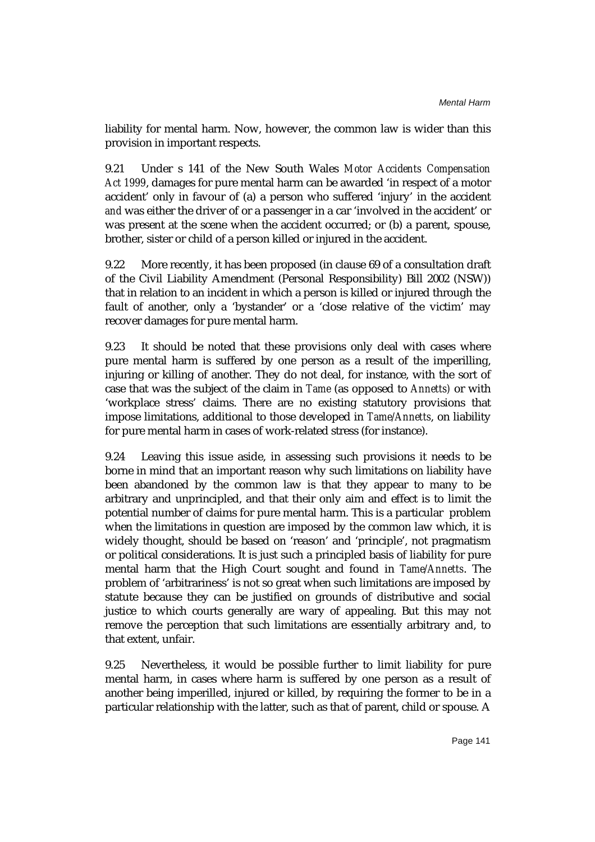liability for mental harm. Now, however, the common law is wider than this provision in important respects.

9.21 Under s 141 of the New South Wales *Motor Accidents Compensation Act 1999*, damages for pure mental harm can be awarded 'in respect of a motor accident' only in favour of (a) a person who suffered 'injury' in the accident *and* was either the driver of or a passenger in a car 'involved in the accident' or was present at the scene when the accident occurred; or (b) a parent, spouse, brother, sister or child of a person killed or injured in the accident.

9.22 More recently, it has been proposed (in clause 69 of a consultation draft of the Civil Liability Amendment (Personal Responsibility) Bill 2002 (NSW)) that in relation to an incident in which a person is killed or injured through the fault of another, only a 'bystander' or a 'close relative of the victim' may recover damages for pure mental harm.

9.23 It should be noted that these provisions only deal with cases where pure mental harm is suffered by one person as a result of the imperilling, injuring or killing of another. They do not deal, for instance, with the sort of case that was the subject of the claim in *Tame* (as opposed to *Annetts)* or with 'workplace stress' claims. There are no existing statutory provisions that impose limitations, additional to those developed in *Tame/Annetts*, on liability for pure mental harm in cases of work-related stress (for instance).

9.24 Leaving this issue aside, in assessing such provisions it needs to be borne in mind that an important reason why such limitations on liability have been abandoned by the common law is that they appear to many to be arbitrary and unprincipled, and that their only aim and effect is to limit the potential number of claims for pure mental harm. This is a particular problem when the limitations in question are imposed by the common law which, it is widely thought, should be based on 'reason' and 'principle', not pragmatism or political considerations. It is just such a principled basis of liability for pure mental harm that the High Court sought and found in *Tame/Annetts*. The problem of 'arbitrariness' is not so great when such limitations are imposed by statute because they can be justified on grounds of distributive and social justice to which courts generally are wary of appealing. But this may not remove the perception that such limitations are essentially arbitrary and, to that extent, unfair.

9.25 Nevertheless, it would be possible further to limit liability for pure mental harm, in cases where harm is suffered by one person as a result of another being imperilled, injured or killed, by requiring the former to be in a particular relationship with the latter, such as that of parent, child or spouse. A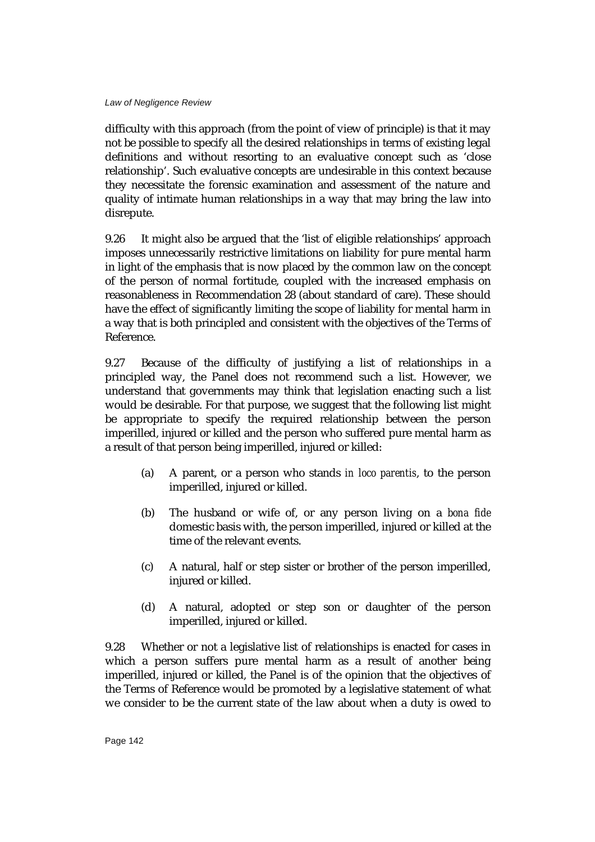difficulty with this approach (from the point of view of principle) is that it may not be possible to specify all the desired relationships in terms of existing legal definitions and without resorting to an evaluative concept such as 'close relationship'. Such evaluative concepts are undesirable in this context because they necessitate the forensic examination and assessment of the nature and quality of intimate human relationships in a way that may bring the law into disrepute.

9.26 It might also be argued that the 'list of eligible relationships' approach imposes unnecessarily restrictive limitations on liability for pure mental harm in light of the emphasis that is now placed by the common law on the concept of the person of normal fortitude, coupled with the increased emphasis on reasonableness in Recommendation 28 (about standard of care). These should have the effect of significantly limiting the scope of liability for mental harm in a way that is both principled and consistent with the objectives of the Terms of Reference.

9.27 Because of the difficulty of justifying a list of relationships in a principled way, the Panel does not recommend such a list. However, we understand that governments may think that legislation enacting such a list would be desirable. For that purpose, we suggest that the following list might be appropriate to specify the required relationship between the person imperilled, injured or killed and the person who suffered pure mental harm as a result of that person being imperilled, injured or killed:

- (a) A parent, or a person who stands *in loco parentis*, to the person imperilled, injured or killed.
- (b) The husband or wife of, or any person living on a *bona fide* domestic basis with, the person imperilled, injured or killed at the time of the relevant events.
- (c) A natural, half or step sister or brother of the person imperilled, injured or killed.
- (d) A natural, adopted or step son or daughter of the person imperilled, injured or killed.

9.28 Whether or not a legislative list of relationships is enacted for cases in which a person suffers pure mental harm as a result of another being imperilled, injured or killed, the Panel is of the opinion that the objectives of the Terms of Reference would be promoted by a legislative statement of what we consider to be the current state of the law about when a duty is owed to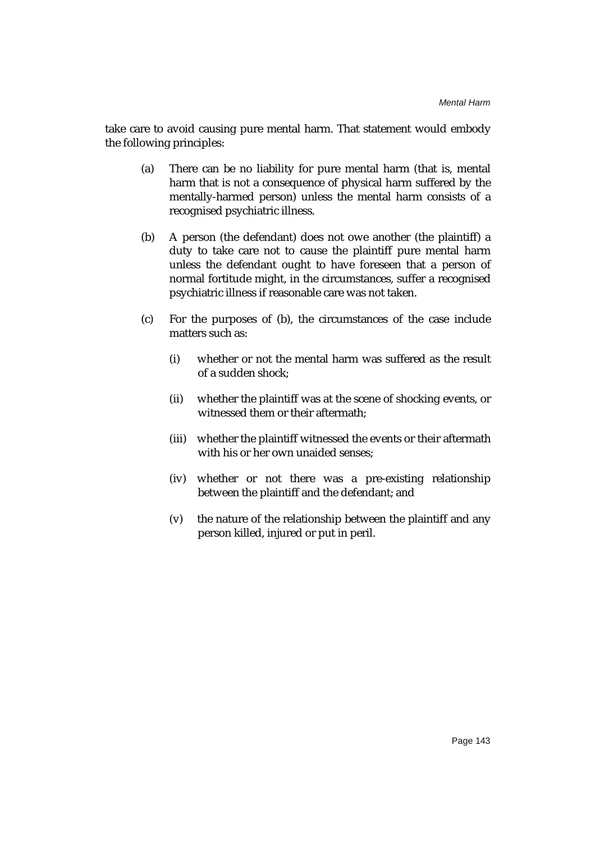take care to avoid causing pure mental harm. That statement would embody the following principles:

- (a) There can be no liability for pure mental harm (that is, mental harm that is not a consequence of physical harm suffered by the mentally-harmed person) unless the mental harm consists of a recognised psychiatric illness.
- (b) A person (the defendant) does not owe another (the plaintiff) a duty to take care not to cause the plaintiff pure mental harm unless the defendant ought to have foreseen that a person of normal fortitude might, in the circumstances, suffer a recognised psychiatric illness if reasonable care was not taken.
- (c) For the purposes of (b), the circumstances of the case include matters such as:
	- (i) whether or not the mental harm was suffered as the result of a sudden shock;
	- (ii) whether the plaintiff was at the scene of shocking events, or witnessed them or their aftermath;
	- (iii) whether the plaintiff witnessed the events or their aftermath with his or her own unaided senses:
	- (iv) whether or not there was a pre-existing relationship between the plaintiff and the defendant; and
	- (v) the nature of the relationship between the plaintiff and any person killed, injured or put in peril.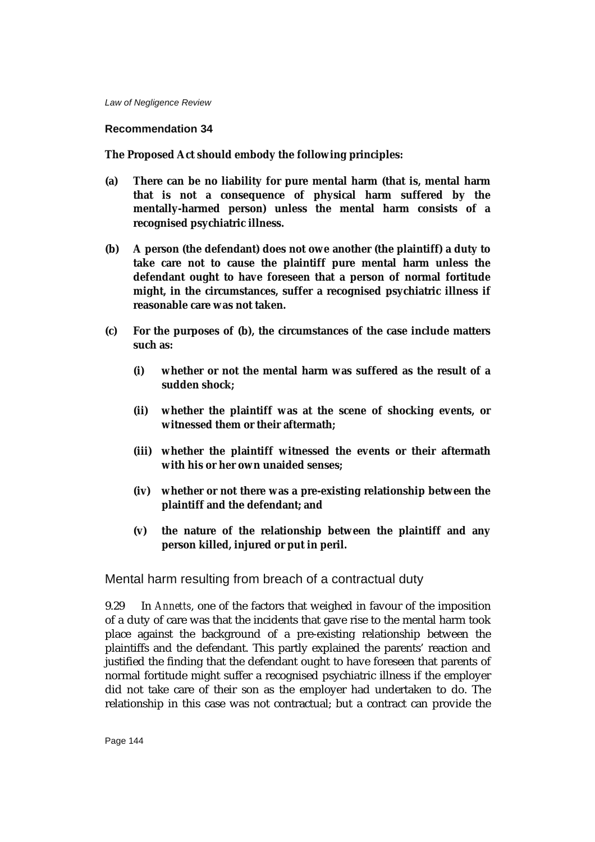#### **Recommendation 34**

**The Proposed Act should embody the following principles:**

- **(a) There can be no liability for pure mental harm (that is, mental harm that is not a consequence of physical harm suffered by the mentally-harmed person) unless the mental harm consists of a recognised psychiatric illness.**
- **(b) A person (the defendant) does not owe another (the plaintiff) a duty to take care not to cause the plaintiff pure mental harm unless the defendant ought to have foreseen that a person of normal fortitude might, in the circumstances, suffer a recognised psychiatric illness if reasonable care was not taken.**
- **(c) For the purposes of (b), the circumstances of the case include matters such as:**
	- **(i) whether or not the mental harm was suffered as the result of a sudden shock;**
	- **(ii) whether the plaintiff was at the scene of shocking events, or witnessed them or their aftermath;**
	- **(iii) whether the plaintiff witnessed the events or their aftermath with his or her own unaided senses;**
	- **(iv) whether or not there was a pre-existing relationship between the plaintiff and the defendant; and**
	- **(v) the nature of the relationship between the plaintiff and any person killed, injured or put in peril.**

Mental harm resulting from breach of a contractual duty

9.29 In *Annetts*, one of the factors that weighed in favour of the imposition of a duty of care was that the incidents that gave rise to the mental harm took place against the background of a pre-existing relationship between the plaintiffs and the defendant. This partly explained the parents' reaction and justified the finding that the defendant ought to have foreseen that parents of normal fortitude might suffer a recognised psychiatric illness if the employer did not take care of their son as the employer had undertaken to do. The relationship in this case was not contractual; but a contract can provide the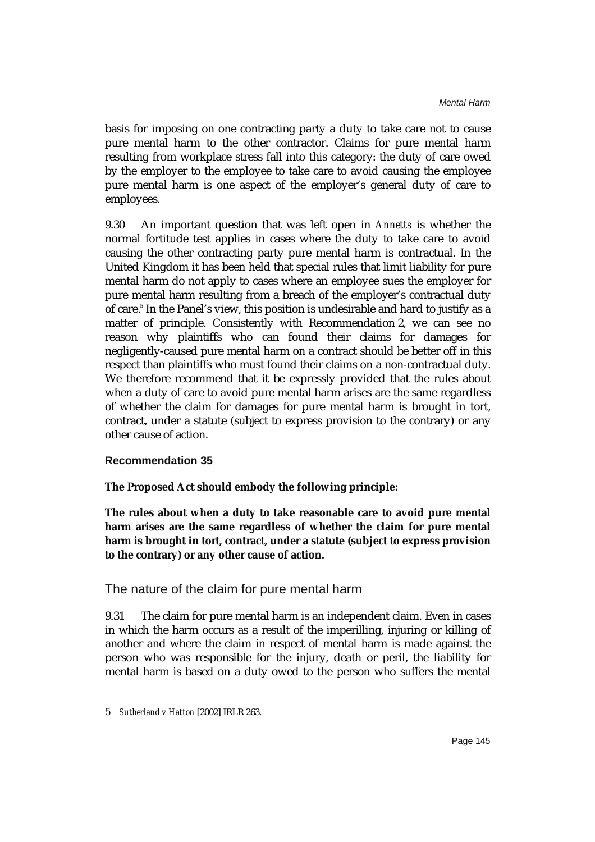basis for imposing on one contracting party a duty to take care not to cause pure mental harm to the other contractor. Claims for pure mental harm resulting from workplace stress fall into this category: the duty of care owed by the employer to the employee to take care to avoid causing the employee pure mental harm is one aspect of the employer's general duty of care to employees.

9.30 An important question that was left open in *Annetts* is whether the normal fortitude test applies in cases where the duty to take care to avoid causing the other contracting party pure mental harm is contractual. In the United Kingdom it has been held that special rules that limit liability for pure mental harm do not apply to cases where an employee sues the employer for pure mental harm resulting from a breach of the employer's contractual duty of care.<sup>5</sup> In the Panel's view, this position is undesirable and hard to justify as a matter of principle. Consistently with Recommendation 2, we can see no reason why plaintiffs who can found their claims for damages for negligently-caused pure mental harm on a contract should be better off in this respect than plaintiffs who must found their claims on a non-contractual duty. We therefore recommend that it be expressly provided that the rules about when a duty of care to avoid pure mental harm arises are the same regardless of whether the claim for damages for pure mental harm is brought in tort, contract, under a statute (subject to express provision to the contrary) or any other cause of action.

#### **Recommendation 35**

### **The Proposed Act should embody the following principle:**

**The rules about when a duty to take reasonable care to avoid pure mental harm arises are the same regardless of whether the claim for pure mental harm is brought in tort, contract, under a statute (subject to express provision to the contrary) or any other cause of action.**

### The nature of the claim for pure mental harm

9.31 The claim for pure mental harm is an independent claim. Even in cases in which the harm occurs as a result of the imperilling, injuring or killing of another and where the claim in respect of mental harm is made against the person who was responsible for the injury, death or peril, the liability for mental harm is based on a duty owed to the person who suffers the mental

<sup>5</sup> *Sutherland v Hatton* [2002] IRLR 263.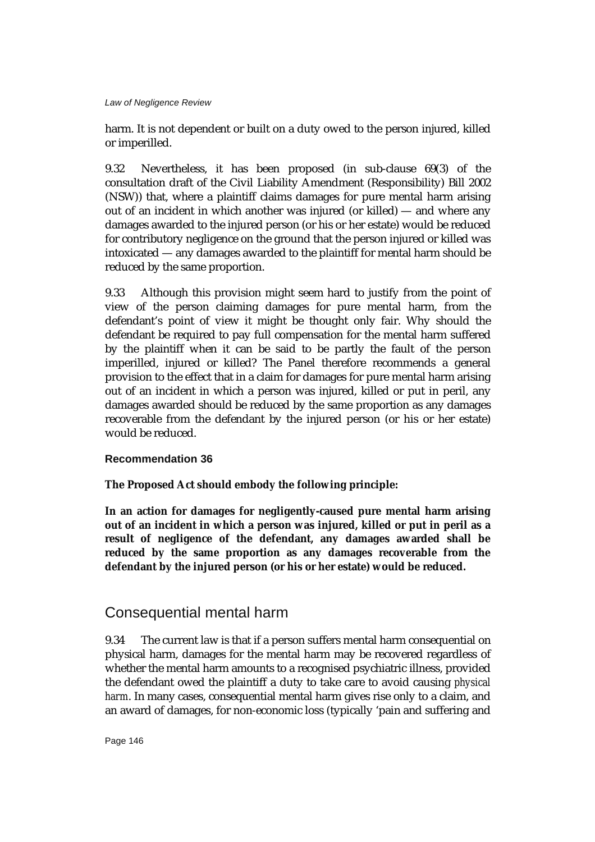harm. It is not dependent or built on a duty owed to the person injured, killed or imperilled.

9.32 Nevertheless, it has been proposed (in sub-clause 69(3) of the consultation draft of the Civil Liability Amendment (Responsibility) Bill 2002 (NSW)) that, where a plaintiff claims damages for pure mental harm arising out of an incident in which another was injured (or killed) — and where any damages awarded to the injured person (or his or her estate) would be reduced for contributory negligence on the ground that the person injured or killed was intoxicated — any damages awarded to the plaintiff for mental harm should be reduced by the same proportion.

9.33 Although this provision might seem hard to justify from the point of view of the person claiming damages for pure mental harm, from the defendant's point of view it might be thought only fair. Why should the defendant be required to pay full compensation for the mental harm suffered by the plaintiff when it can be said to be partly the fault of the person imperilled, injured or killed? The Panel therefore recommends a general provision to the effect that in a claim for damages for pure mental harm arising out of an incident in which a person was injured, killed or put in peril, any damages awarded should be reduced by the same proportion as any damages recoverable from the defendant by the injured person (or his or her estate) would be reduced.

### **Recommendation 36**

## **The Proposed Act should embody the following principle:**

**In an action for damages for negligently-caused pure mental harm arising out of an incident in which a person was injured, killed or put in peril as a result of negligence of the defendant, any damages awarded shall be reduced by the same proportion as any damages recoverable from the defendant by the injured person (or his or her estate) would be reduced.**

## Consequential mental harm

9.34 The current law is that if a person suffers mental harm consequential on physical harm, damages for the mental harm may be recovered regardless of whether the mental harm amounts to a recognised psychiatric illness, provided the defendant owed the plaintiff a duty to take care to avoid causing *physical harm*. In many cases, consequential mental harm gives rise only to a claim, and an award of damages, for non-economic loss (typically 'pain and suffering and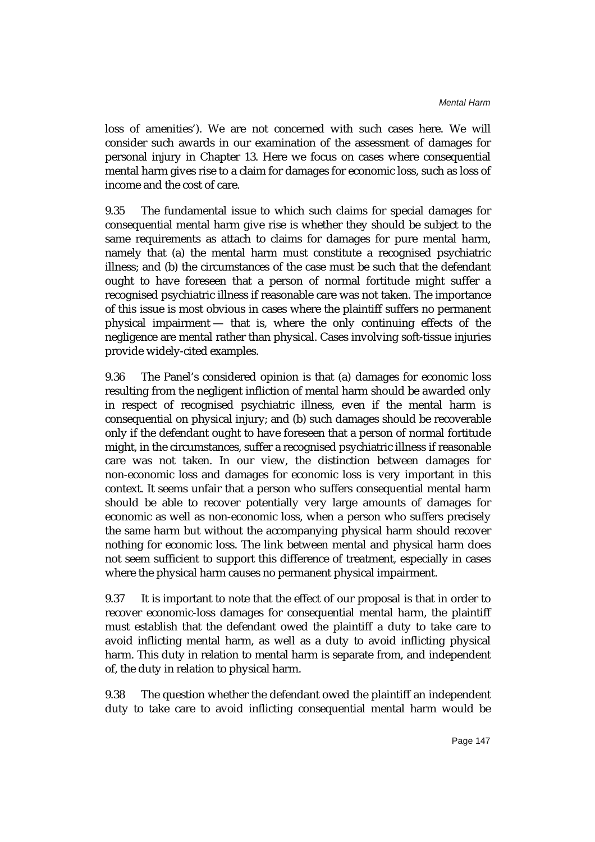loss of amenities'). We are not concerned with such cases here. We will consider such awards in our examination of the assessment of damages for personal injury in Chapter 13. Here we focus on cases where consequential mental harm gives rise to a claim for damages for economic loss, such as loss of income and the cost of care.

9.35 The fundamental issue to which such claims for special damages for consequential mental harm give rise is whether they should be subject to the same requirements as attach to claims for damages for pure mental harm, namely that (a) the mental harm must constitute a recognised psychiatric illness; and (b) the circumstances of the case must be such that the defendant ought to have foreseen that a person of normal fortitude might suffer a recognised psychiatric illness if reasonable care was not taken. The importance of this issue is most obvious in cases where the plaintiff suffers no permanent physical impairment — that is, where the only continuing effects of the negligence are mental rather than physical. Cases involving soft-tissue injuries provide widely-cited examples.

9.36 The Panel's considered opinion is that (a) damages for economic loss resulting from the negligent infliction of mental harm should be awarded only in respect of recognised psychiatric illness, even if the mental harm is consequential on physical injury; and (b) such damages should be recoverable only if the defendant ought to have foreseen that a person of normal fortitude might, in the circumstances, suffer a recognised psychiatric illness if reasonable care was not taken. In our view, the distinction between damages for non-economic loss and damages for economic loss is very important in this context. It seems unfair that a person who suffers consequential mental harm should be able to recover potentially very large amounts of damages for economic as well as non-economic loss, when a person who suffers precisely the same harm but without the accompanying physical harm should recover nothing for economic loss. The link between mental and physical harm does not seem sufficient to support this difference of treatment, especially in cases where the physical harm causes no permanent physical impairment.

9.37 It is important to note that the effect of our proposal is that in order to recover economic-loss damages for consequential mental harm, the plaintiff must establish that the defendant owed the plaintiff a duty to take care to avoid inflicting mental harm, as well as a duty to avoid inflicting physical harm. This duty in relation to mental harm is separate from, and independent of, the duty in relation to physical harm.

9.38 The question whether the defendant owed the plaintiff an independent duty to take care to avoid inflicting consequential mental harm would be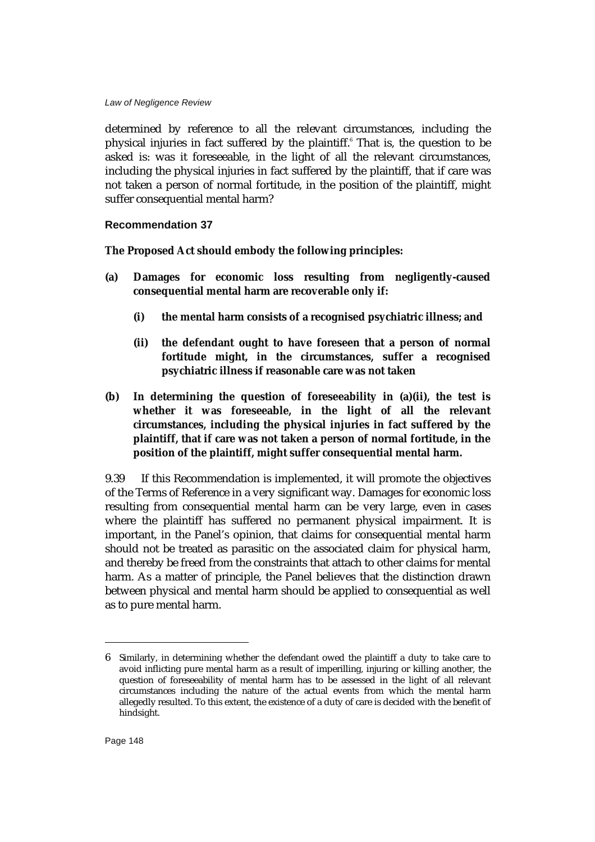determined by reference to all the relevant circumstances, including the physical injuries in fact suffered by the plaintiff.<sup>6</sup> That is, the question to be asked is: was it foreseeable, in the light of all the relevant circumstances, including the physical injuries in fact suffered by the plaintiff, that if care was not taken a person of normal fortitude, in the position of the plaintiff, might suffer consequential mental harm?

#### **Recommendation 37**

**The Proposed Act should embody the following principles:**

- **(a) Damages for economic loss resulting from negligently-caused consequential mental harm are recoverable only if:**
	- **(i) the mental harm consists of a recognised psychiatric illness; and**
	- **(ii) the defendant ought to have foreseen that a person of normal fortitude might, in the circumstances, suffer a recognised psychiatric illness if reasonable care was not taken**
- **(b) In determining the question of foreseeability in (a)(ii), the test is whether it was foreseeable, in the light of all the relevant circumstances, including the physical injuries in fact suffered by the plaintiff, that if care was not taken a person of normal fortitude, in the position of the plaintiff, might suffer consequential mental harm.**

9.39 If this Recommendation is implemented, it will promote the objectives of the Terms of Reference in a very significant way. Damages for economic loss resulting from consequential mental harm can be very large, even in cases where the plaintiff has suffered no permanent physical impairment. It is important, in the Panel's opinion, that claims for consequential mental harm should not be treated as parasitic on the associated claim for physical harm, and thereby be freed from the constraints that attach to other claims for mental harm. As a matter of principle, the Panel believes that the distinction drawn between physical and mental harm should be applied to consequential as well as to pure mental harm.

<sup>6</sup> Similarly, in determining whether the defendant owed the plaintiff a duty to take care to avoid inflicting pure mental harm as a result of imperilling, injuring or killing another, the question of foreseeability of mental harm has to be assessed in the light of all relevant circumstances including the nature of the actual events from which the mental harm allegedly resulted. To this extent, the existence of a duty of care is decided with the benefit of hindsight.